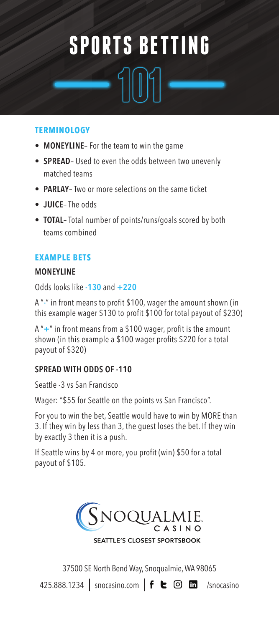# **SPORTS BETTING**

### **TERMINOLOGY**

- **MONEYLINE** For the team to win the game
- **SPREAD** Used to even the odds between two unevenly matched teams
- **PARLAY** Two or more selections on the same ticket
- **JUICE** The odds
- **TOTAL** Total number of points/runs/goals scored by both teams combined

## **EXAMPLE BETS**

## **MONEYLINE**

Odds looks like **-130** and **+220**

A "**-**" in front means to profit \$100, wager the amount shown (in this example wager \$130 to profit \$100 for total payout of \$230)

A "**+**" in front means from a \$100 wager, profit is the amount shown (in this example a \$100 wager profits \$220 for a total payout of \$320)

## **SPREAD WITH ODDS OF -110**

Seattle -3 vs San Francisco

Wager: "\$55 for Seattle on the points vs San Francisco".

For you to win the bet, Seattle would have to win by MORE than 3. If they win by less than 3, the guest loses the bet. If they win by exactly 3 then it is a push.

If Seattle wins by 4 or more, you profit (win) \$50 for a total payout of \$105.



37500 SE North Bend Way, Snoqualmie, WA 98065

425.888.1234 | snocasino.com  $|f \in \textcircled{}}$   $\Box$  /snocasino